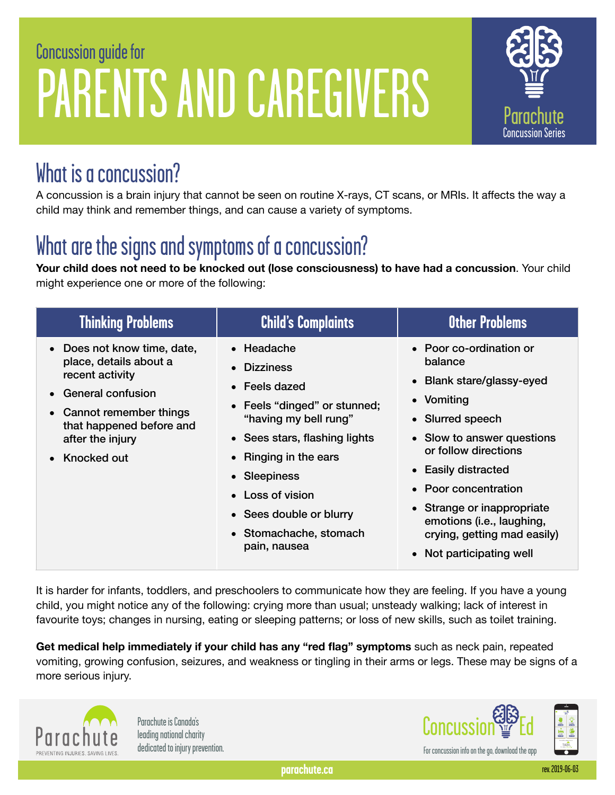# C oncus sion guide for P ARENT S AND CAREGIVERS



#### What is a concussion?

A concussion is a brain injury that cannot be seen on routine X-rays, CT scans, or MRIs. It affects the way a child may think and remember things, and can cause a variety of symptoms.

# What are the signs and symptoms of a concussion?

**Your child does not need to be knocked out (lose consciousness) to have had a concussion**. Your child might experience one or more of the following:

| <b>Thinking Problems</b>                                                                                                                                                                                | <b>Child's Complaints</b>                                                                                                                                                                                                                                                           | Other Problems                                                                                                                                                                                                                                                                                                               |
|---------------------------------------------------------------------------------------------------------------------------------------------------------------------------------------------------------|-------------------------------------------------------------------------------------------------------------------------------------------------------------------------------------------------------------------------------------------------------------------------------------|------------------------------------------------------------------------------------------------------------------------------------------------------------------------------------------------------------------------------------------------------------------------------------------------------------------------------|
| • Does not know time, date,<br>place, details about a<br>recent activity<br>• General confusion<br>• Cannot remember things<br>that happened before and<br>after the injury<br>Knocked out<br>$\bullet$ | $\bullet$ Headache<br><b>Dizziness</b><br>• Feels dazed<br>• Feels "dinged" or stunned;<br>"having my bell rung"<br>• Sees stars, flashing lights<br>• Ringing in the ears<br>• Sleepiness<br>• Loss of vision<br>• Sees double or blurry<br>• Stomachache, stomach<br>pain, nausea | • Poor co-ordination or<br>balance<br>• Blank stare/glassy-eyed<br>• Vomiting<br>• Slurred speech<br>• Slow to answer questions<br>or follow directions<br>• Easily distracted<br>• Poor concentration<br>• Strange or inappropriate<br>emotions (i.e., laughing,<br>crying, getting mad easily)<br>• Not participating well |

It is harder for infants, toddlers, and preschoolers to communicate how they are feeling. If you have a young child, you might notice any of the following: crying more than usual; unsteady walking; lack of interest in favourite toys; changes in nursing, eating or sleeping patterns; or loss of new skills, such as toilet training.

**Get medical help immediately if your child has any "red flag" symptoms** such as neck pain, repeated vomiting, growing confusion, seizures, and weakness or tingling in their arms or legs. These may be signs of a more serious injury.



Parachute is Canada's leading national charity dedicated to injury prevention.



**parachute.ca** rev. 2019-06-03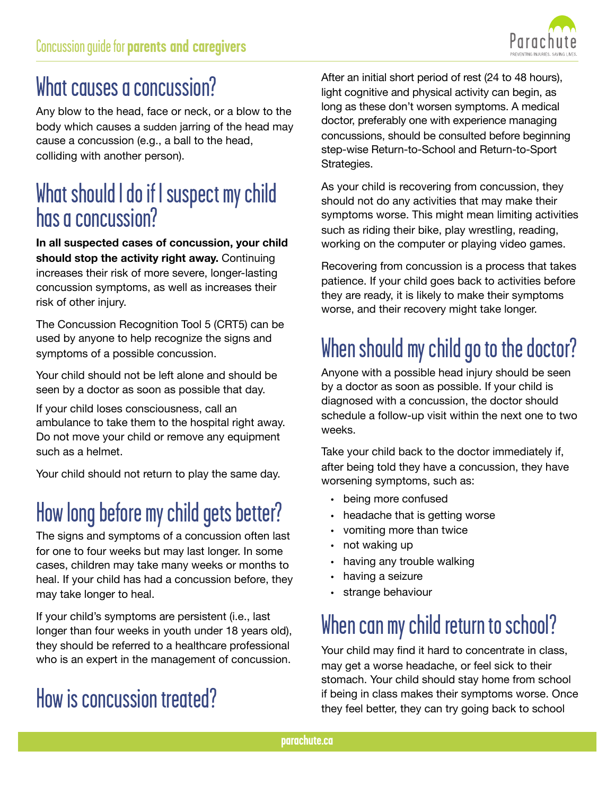

# What causes a concussion?

Any blow to the head, face or neck, or a blow to the body which causes a sudden jarring of the head may cause a concussion (e.g., a ball to the head, colliding with another person).

#### What should I do if I suspect my child has a concussion?

**In all suspected cases of concussion, your child should stop the activity right away.** Continuing increases their risk of more severe, longer-lasting concussion symptoms, as well as increases their risk of other injury.

The Concussion Recognition Tool 5 (CRT5) can be used by anyone to help recognize the signs and symptoms of a possible concussion.

Your child should not be left alone and should be seen by a doctor as soon as possible that day.

If your child loses consciousness, call an ambulance to take them to the hospital right away. Do not move your child or remove any equipment such as a helmet.

Your child should not return to play the same day.

# How long before my child gets better?

The signs and symptoms of a concussion often last for one to four weeks but may last longer. In some cases, children may take many weeks or months to heal. If your child has had a concussion before, they may take longer to heal.

If your child's symptoms are persistent (i.e., last longer than four weeks in youth under 18 years old), they should be referred to a healthcare professional who is an expert in the management of concussion.

# How is concussion treated?

After an initial short period of rest (24 to 48 hours), light cognitive and physical activity can begin, as long as these don't worsen symptoms. A medical doctor, preferably one with experience managing concussions, should be consulted before beginning step-wise Return-to-School and Return-to-Sport Strategies.

As your child is recovering from concussion, they should not do any activities that may make their symptoms worse. This might mean limiting activities such as riding their bike, play wrestling, reading, working on the computer or playing video games.

Recovering from concussion is a process that takes patience. If your child goes back to activities before they are ready, it is likely to make their symptoms worse, and their recovery might take longer.

# When should my child go to the doctor?

Anyone with a possible head injury should be seen by a doctor as soon as possible. If your child is diagnosed with a concussion, the doctor should schedule a follow-up visit within the next one to two weeks.

Take your child back to the doctor immediately if, after being told they have a concussion, they have worsening symptoms, such as:

- being more confused
- headache that is getting worse
- vomiting more than twice
- not waking up
- having any trouble walking
- having a seizure
- strange behaviour

# When can my child return to school?

Your child may find it hard to concentrate in class, may get a worse headache, or feel sick to their stomach. Your child should stay home from school if being in class makes their symptoms worse. Once they feel better, they can try going back to school